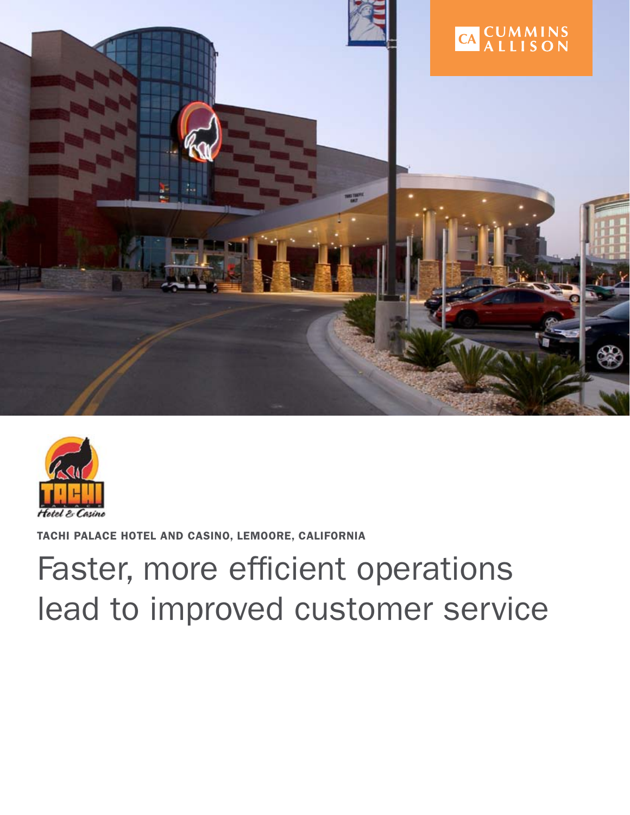



Tachi Palace Hotel and Casino, Lemoore, California

# Faster, more efficient operations lead to improved customer service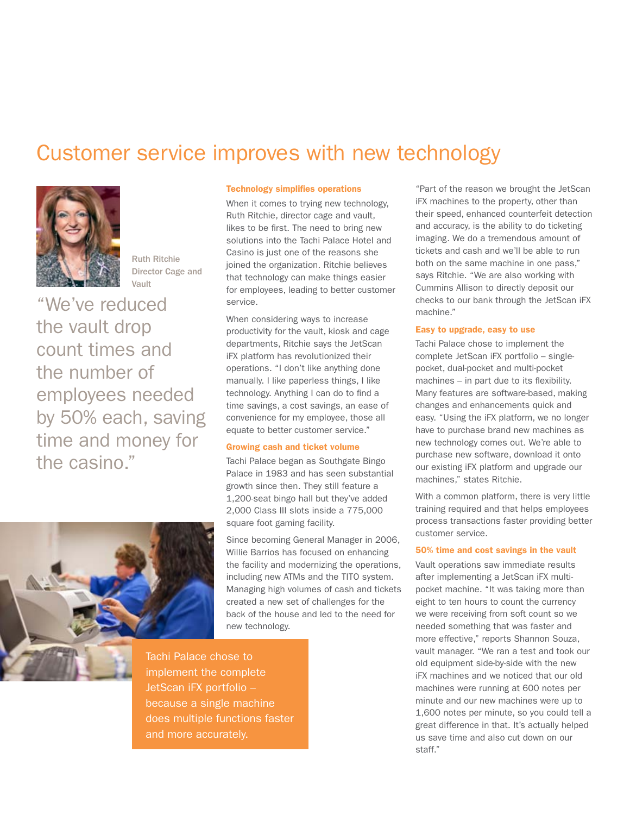### Customer service improves with new technology



Ruth Ritchie Director Cage and Vault

"We've reduced the vault drop count times and the number of employees needed by 50% each, saving time and money for the casino."



#### Technology simplifies operations

When it comes to trying new technology, Ruth Ritchie, director cage and vault, likes to be first. The need to bring new solutions into the Tachi Palace Hotel and Casino is just one of the reasons she joined the organization. Ritchie believes that technology can make things easier for employees, leading to better customer service.

When considering ways to increase productivity for the vault, kiosk and cage departments, Ritchie says the JetScan iFX platform has revolutionized their operations. "I don't like anything done manually. I like paperless things, I like technology. Anything I can do to find a time savings, a cost savings, an ease of convenience for my employee, those all equate to better customer service."

#### Growing cash and ticket volume

Tachi Palace began as Southgate Bingo Palace in 1983 and has seen substantial growth since then. They still feature a 1,200-seat bingo hall but they've added 2,000 Class III slots inside a 775,000 square foot gaming facility.

Since becoming General Manager in 2006, Willie Barrios has focused on enhancing the facility and modernizing the operations, including new ATMs and the TITO system. Managing high volumes of cash and tickets created a new set of challenges for the back of the house and led to the need for new technology.

Tachi Palace chose to implement the complete JetScan iFX portfolio – because a single machine does multiple functions faster and more accurately.

"Part of the reason we brought the JetScan iFX machines to the property, other than their speed, enhanced counterfeit detection and accuracy, is the ability to do ticketing imaging. We do a tremendous amount of tickets and cash and we'll be able to run both on the same machine in one pass," says Ritchie. "We are also working with Cummins Allison to directly deposit our checks to our bank through the JetScan iFX machine."

#### Easy to upgrade, easy to use

Tachi Palace chose to implement the complete JetScan iFX portfolio – singlepocket, dual-pocket and multi-pocket machines – in part due to its flexibility. Many features are software-based, making changes and enhancements quick and easy. "Using the iFX platform, we no longer have to purchase brand new machines as new technology comes out. We're able to purchase new software, download it onto our existing iFX platform and upgrade our machines," states Ritchie.

With a common platform, there is very little training required and that helps employees process transactions faster providing better customer service.

#### 50% time and cost savings in the vault

Vault operations saw immediate results after implementing a JetScan iFX multipocket machine. "It was taking more than eight to ten hours to count the currency we were receiving from soft count so we needed something that was faster and more effective," reports Shannon Souza, vault manager. "We ran a test and took our old equipment side-by-side with the new iFX machines and we noticed that our old machines were running at 600 notes per minute and our new machines were up to 1,600 notes per minute, so you could tell a great difference in that. It's actually helped us save time and also cut down on our staff."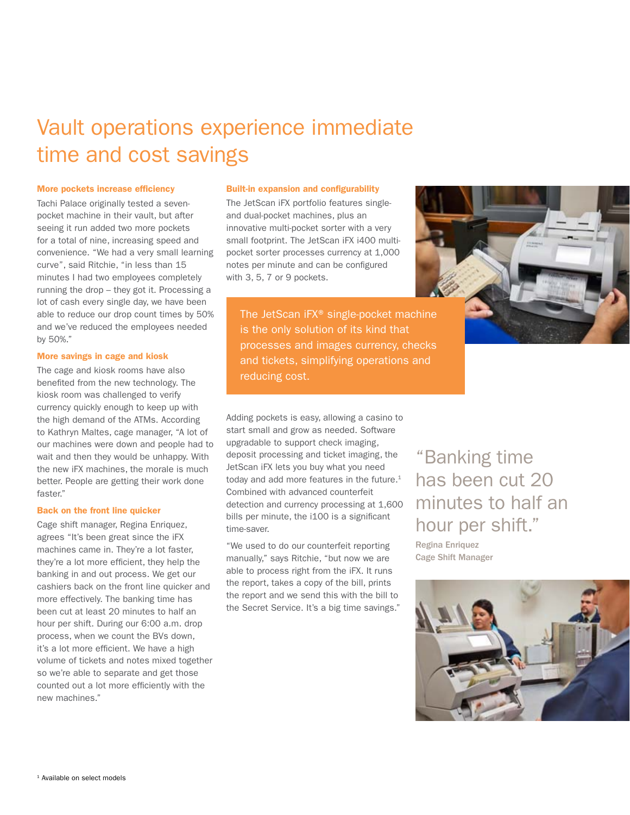## Vault operations experience immediate time and cost savings

#### More pockets increase efficiency

Tachi Palace originally tested a sevenpocket machine in their vault, but after seeing it run added two more pockets for a total of nine, increasing speed and convenience. "We had a very small learning curve", said Ritchie, "in less than 15 minutes I had two employees completely running the drop – they got it. Processing a lot of cash every single day, we have been able to reduce our drop count times by 50% and we've reduced the employees needed by 50%."

#### More savings in cage and kiosk

The cage and kiosk rooms have also benefited from the new technology. The kiosk room was challenged to verify currency quickly enough to keep up with the high demand of the ATMs. According to Kathryn Maltes, cage manager, "A lot of our machines were down and people had to wait and then they would be unhappy. With the new iFX machines, the morale is much better. People are getting their work done faster."

#### Back on the front line quicker

Cage shift manager, Regina Enriquez, agrees "It's been great since the iFX machines came in. They're a lot faster, they're a lot more efficient, they help the banking in and out process. We get our cashiers back on the front line quicker and more effectively. The banking time has been cut at least 20 minutes to half an hour per shift. During our 6:00 a.m. drop process, when we count the BVs down, it's a lot more efficient. We have a high volume of tickets and notes mixed together so we're able to separate and get those counted out a lot more efficiently with the new machines."

#### Built-in expansion and configurability

The JetScan iFX portfolio features singleand dual-pocket machines, plus an innovative multi-pocket sorter with a very small footprint. The JetScan iFX i400 multipocket sorter processes currency at 1,000 notes per minute and can be configured with 3, 5, 7 or 9 pockets.

The JetScan iFX® single-pocket machine is the only solution of its kind that processes and images currency, checks and tickets, simplifying operations and reducing cost.

Adding pockets is easy, allowing a casino to start small and grow as needed. Software upgradable to support check imaging, deposit processing and ticket imaging, the JetScan iFX lets you buy what you need today and add more features in the future. $1$ Combined with advanced counterfeit detection and currency processing at 1,600 bills per minute, the i100 is a significant time-saver.

"We used to do our counterfeit reporting manually," says Ritchie, "but now we are able to process right from the iFX. It runs the report, takes a copy of the bill, prints the report and we send this with the bill to the Secret Service. It's a big time savings." "Banking time has been cut 20 minutes to half an hour per shift." Regina Enriquez Cage Shift Manager